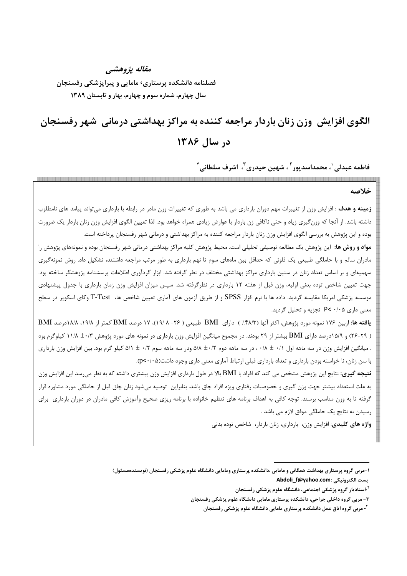## مقاله يژوهشي فصلنامه دانشکده پرستاری٬ مامایی و پیراپزشکی رفسنجان سال چهارم، شماره سوم و چهارم، بهار و تابستان ۱۳۸۹

# الگوی افزایش وزن زنان باردار مراجعه کننده به مراکز بهداشتی درمانی شهر رفسنجان در سال ۱۳۸۶

فاطمه عبدلي ٰ، محمداسديور ؑ ، شهين حيدري ؑ، اشرف سلطاني ٔ

#### خلاصه

**زمینه و هدف** : افزایش وزن از تغییرات مهم دوران بارداری می باشد به طوری که تغییرات وزن مادر در رابطه با بارداری میتواند پیامد های نامطلوب داشته باشد. از آنجا که وزن گیری زیاد و حتی ناکافی زن باردار با عوارض زیادی همراه خواهد بود. لذا تعیین الگوی افزایش وزن زنان باردار یک ضرورت بوده و این پژوهش به بررسی الگوی افزایش وزن زنان باردار مراجعه کننده به مراکز بهداشتی و درمانی شهر رفسنجان پرداخته است.

**مواد و روش ها**: این پژوهش یک مطالعه توصیفی تحلیلی است. محیط پژوهش کلیه مراکز بهداشتی درمانی شهر رفسنجان بوده و نمونههای پژوهش را مادران سالم و با حاملگی طبیعی یک قلوئی که حداقل بین ماههای سوم تا نهم بارداری به طور مرتب مراجعه داشتند، تشکیل داد. روش نمونهگیری سهمیهای و بر اساس تعداد زنان در سنین بارداری مراکز بهداشتی مختلف در نظر گرفته شد. ابزار گردآوری اطلاعات پرسشنامه پژوهشگر ساخته بود. جهت تعیین شاخص توده بدنی اولیه، وزن قبل از هفته ۱۲ بارداری در نظرگرفته شد. سپس میزان افزایش وزن زمان بارداری با جدول پیشنهادی موسسه پزشکی امریکا مقایسه گردید. داده ها با نرم افزار SPSS و از طریق آزمون های آماری تعیین شاخص ها، T-Test وکای اسکویر در سطح معنی داری P< ۰/۰۵ تجزیه و تحلیل گردید.

یافته ها: ازبین ۱۷۶ نمونه مورد پژوهش، اکثر آنها (۴۸/۳٪) دارای BMI طبیعی ( ۲۶– ۱۹/۸)، ۱۷ درصد BMI کمتر از ۱۹/۸، ۱۸/۸درصد BMI ( ۲۹-۲۶) و ۱۵/۹درصد دارای BMI بیشتر از ۲۹ بودند. در مجموع میانگین افزایش وزن بارداری در نمونه های مورد پژوهش ۱۰/۳ ± ۱۱/۸ کیلوگرم بود . میانگین افزایش وزن در سه ماهه اول ۰/۸ ± ۰/۸، در سه ماهه دوم ۵/۸ ± ۵/۸ ودر سه ماهه سوم ۰/۲ ± ۵/۱ کیلو گرم بود. بین افزایش وزن بارداری با سن زنان، نا خواسته بودن بارداری و تعداد بارداری قبلی ارتباط آماری معنی داری وجود داشت(p<۰/۰۵).

**نتیجه گیری**: نتایج این پژوهش مشخص می کند که افراد با BMI بالا در طول بارداری افزایش وزن بیشتری داشته که به نظر میرسد این افزایش وزن به علت استعداد بیشتر جهت وزن گیری و خصوصیات رفتاری ویژه افراد چاق باشد. بنابراین توصیه میشود زنان چاق قبل از حاملگی مورد مشاوره قرار گرفته تا به وزن مناسب برسند. توجه کافی به اهداف برنامه های تنظیم خانواده با برنامه ریزی صحیح وآموزش کافی مادران در دوران بارداری برای رسیدن به نتایج یک حاملگی موفق لازم می باشد .

واژه های کلیدی: افزایش وزن، بارداری، زنان باردار، شاخص توده بدنی

۱–مربی گروه پرستاری بهداشت همگانی و مامایی ،دانشکده پرستاری ومامایی دانشگاه علوم پزشکی رفسنجان (نویسندهمسئول) Abdoli f@yahoo.com: يست الكترونيكي

<sup>&</sup>lt;sup>۲</sup>-استادیار گروه پزشکی اجتماعی، دانشگاه علوم پزشکی رفسنجان

۳- مربی گروه داخلی جراحی، دانشکده پرستاری مامایی دانشگاه علوم پزشکی رفسنجان

<sup>&</sup>lt;sup>1</sup>- مربی گروه اتاق عمل دانشکده پرستاری مامایی دانشگاه علوم پزشکی رفسنجان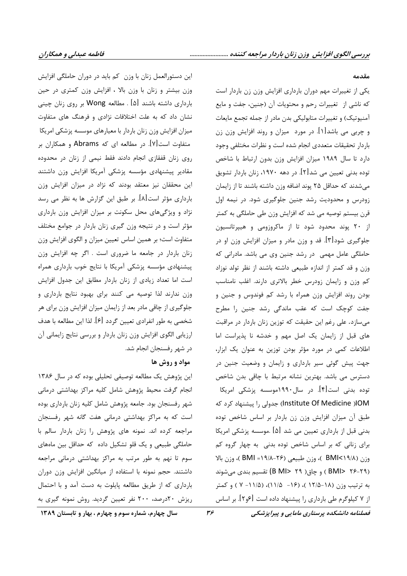این دستورالعمل زنان با وزن کم باید در دوران حاملگی افزایش وزن بیشتر و زنان با وزن بالا ، افزایش وزن کمتری در حین بارداری داشته باشند [۵] . مطالعه Wong بر روی زنان چینی نشان داد که به علت اختلافات نژادی و فرهنگ های متفاوت میزان افزایش وزن زنان باردار با معیارهای موسسه پزشکی امریکا متفاوت است[۷]. در مطالعه ای که Abrams و همکاران بر روی زنان قفقازی انجام دادند فقط نیمی از زنان در محدوده مقادیر پیشنهادی مؤسسه پزشکی آمریکا افزایش وزن داشتند این محققان نیز معتقد بودند که نژاد در میزان افزایش وزن بارداری مؤثر است[۸]. بر طبق این گزارش ها به نظر می رسد نژاد و ویژگیهای محل سکونت بر میزان افزایش وزن بارداری مؤثر است و در نتیجه وزن گیری زنان باردار در جوامع مختلف متفاوت است؛ بر همین اساس تعیین میزان و الگوی افزایش وزن زنان باردار در جامعه ما ضروری است . اگر چه افزایش وزن پیشنهادی مؤسسه پزشکی آمریکا با نتایج خوب بارداری همراه است اما تعداد زیادی از زنان باردار مطابق این جدول افزایش وزن ندارند لذا توصیه می کنند برای بهبود نتایج بارداری و جلوگیری از چاقی مادر بعد از زایمان میزان افزایش وزن برای هر شخصی به طور انفرادی تعیین گردد [۶]. لذا این مطالعه با هدف ارزیابی الگوی افزایش وزن زنان باردار و بررسی نتایج زایمانی آن در شهر رفسنجان انجام شد.

#### مواد و روش ها

این پژوهش یک مطالعه توصیفی تحلیلی بوده که در سال ۱۳۸۶ انجام گرفت محیط پژوهش شامل کلیه مراکز بهداشتی درمانی شهر رفسنجان بود. جامعه پژوهش شامل کلیه زنان بارداری بوده است که به مراکز بهداشتی درمانی هفت گانه شهر رفسنجان مراجعه کرده اند. نمونه های پژوهش را زنان باردار سالم با حاملگی طبیعی و یک قلو تشکیل داده که حداقل بین ماههای سوم تا نهم به طور مرتب به مراكز بهداشتى درمانى مراجعه داشتند. حجم نمونه با استفاده از میانگین افزایش وزن دوران بارداری که از طریق مطالعه پایلوت به دست آمد و با احتمال ریزش ۲۰درصد، ۲۰۰ نفر تعیین گردید. روش نمونه گیری به

### فصلنامه دانشکده پرستاری مامایی و پیراپزشکی

مقدمه

یکی از تغییرات مهم دوران بارداری افزایش وزن زن باردار است که ناشی از تغییرات رحم و محتویات آن (جنین، جفت و مایع آمنیوتیک) و تغییرات متابولیکی بدن مادر از جمله تجمع مایعات و چربی می باشد[۱]. در مورد ً میزان و روند افزایش وزن زن باردار تحقيقات متعددى انجام شده است و نظرات مختلفى وجود دارد تا سال ۱۹۸۹ میزان افزایش وزن بدون ارتباط با شاخص توده بدنی تعیین می شد[۲]. در دهه ۱۹۷۰، زنان باردار تشویق می شدند که حداقل ۲۵ پوند اضافه وزن داشته باشند تا از زایمان زودرس و محدودیت رشد جنین جلوگیری شود. در نیمه اول قرن بیستم توصیه می شد که افزایش وزن طی حاملگی به کمتر از ۲۰ پوند محدود شود تا از ماکروزومی و هیپرتانسیون جلوگیری شود[۳]. قد و وزن مادر و میزان افزایش وزن او در حاملگی عامل مهمی در رشد جنین وی می باشد. مادرانی که وزن و قد كمتر از اندازه طبيعي داشته باشند از نظر تولد نوزاد کم وزن و زایمان زودرس خطر بالاتری دارند. اغلب نامناسب بودن روند افزایش وزن همراه با رشد کم فوندوس و جنین و جفت کوچک است که عقب ماندگی رشد جنین را مطرح میسازد. علی رغم این حقیقت که توزین زنان باردار در مراقبت های قبل از زایمان یک اصل مهم و خدشه نا پذیراست اما اطلاعات کمی در مورد مؤثر بودن توزین به عنوان یک ابزار، جهت پیش گوئی سیر بارداری و زایمان و وضعیت جنین در دسترس می باشد. بهترین نشانه مرتبط با چاقی بدن شاخص توده بدنی است[۴]. در سال۱۹۹۰موسسه پزشکی امریکا IOM(Institute Of Medicine) جدولی را پیشنهاد کرد که طبق آن میزان افزایش وزن زن باردار بر اساس شاخص توده بدنی قبل از بارداری تعیین می شد [۵] .موسسه پزشکی امریکا برای زنانی که بر اساس شاخص توده بدنی به چهار گروه کم وزن (BMI<۱۹/A )، وزن طبيعي (۲۶-۱۹/۸= BMI )، وزن بالا (۲۹-۲۶ BMI>) و چاق( ۲۹ <B MI) تقسیم بندی میشوند به ترتیب وزن (۱۸–۱۲/۵ )، (۱۶– ۱۱/۵)، (۱۱/۵– ۷ ) و کمتر از ۷ کیلوگرم طی بارداری را پیشنهاد داده است [۶و۲]. بر اساس

سال چهارم، شماره سوم و چهارم ، بهار و تابستان ۱۳۸۹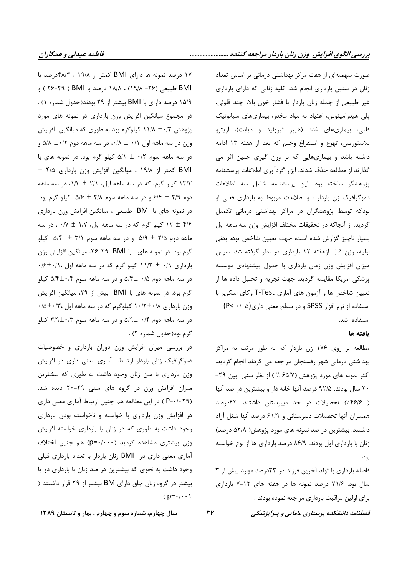۱۷ درصد نمونه ها دارای BMI کمتر از ۱۹/۸ ، ۴۸/۳درصد با BMI طبیعی (۲۶– ۱۹/۸) ، ۱۸/۸ درصد با BMI ( ۲۹–۲۶ ) و ۱۵/۹ درصد دارای با BMI بیشتر از ۲۹ بودند(جدول شماره ۱) . در مجموع میانگین افزایش وزن بارداری در نمونه های مورد پژوهش ۱۱/۸ ±۰/۳ کیلوگرم بود به طوری که میانگین افزایش وزن در سه ماهه اول ۰/۱  $\star$ ۰۰ در سه ماهه دوم ۵/۸ ± ۰/۸ و در سه ماهه سوم ۰/۲  $\pm$  ۵/۱ کیلو گرم بود. در نمونه های با BMI کمتر از ۱۹/۸ ، میانگین افزایش وزن بارداری ۴/۵ ± ۱۳/۳ کیلو گرم، که در سه ماهه اول، ۲/۱ ± ۱/۳، در سه ماهه دوم ۶/۹ ± ۶/۴ و در سه ماهه سوم ۲/۸ ± ۵/۶ کیلو گرم بود. در نمونه های با BMI طیبعی ، میانگین افزایش وزن بارداری ۴/۴ ± ۱۲ کیلو گرم که در سه ماهه اول، ۱/۷ ± ۰۰/۷ ، در سه ماهه دوم ۶/۵ ± ۵/۹ و در سه ماهه سوم ۵/۱ ± ۵/۴ كيلو گرم بود. در نمونه های با ۲۹-۲۹، ۲۶-۲۶، میانگین افزایش وزن  $\cdot$ بارداری ۰/۹ ± ۱۱/۳ کیلو گرم که در سه ماهه اول ۰/۱۰+۶: در سه ماهه دوم ۵/۳± ۰/۵ و در سه ماهه سوم ۵/۴±۰/۴ کیلو گرم بود. در نمونه های با BMI بیش از ۲۹، میانگین افزایش  $\cdot$ وزن بارداری ۱۰/۲±۰/۸ کیلوگرم که در سه ماهه اول ۱۰/۵±۰/۰  $\sim$ در سه ماهه دوم ۰/۴  $\pm$ ۵/۹ و در سه ماهه سوم ۳/۹ $\pm$ ۳/۳ کیلو گرم بود(جدول شماره ۲) .

در بررسی میزان افزایش وزن دوران بارداری و خصوصیات دموگرافیک زنان باردار ارتباط آماری معنی داری در افزایش وزن بارداری با سن زنان وجود داشت به طوری که بیشترین میزان افزایش وزن در گروه های سنی ۲۹-۲۰ دیده شد. (P=٠/٠٢٩ ) در این مطالعه هم چنین ارتباط آماری معنی داری در افزایش وزن بارداری با خواسته و ناخواسته بودن بارداری وجود داشت به طوری که در زنان با بارداری خواسته افزایش وزن بیشتری مشاهده گردید (p=٠/٠٠٠) هم چنین اختلاف آماری معنی داری در BMI زنان باردار با تعداد بارداری قبلی وجود داشت به نحوی که بیشترین در صد زنان با بارداری دو یا بیشتر در گروه زنان چاق دارایBMI بیشتر از ۲۹ قرار داشتند (  $(p = \cdot / \cdot \cdot )$ 

صورت سهمیهای از هفت مرکز بهداشتی درمانی بر اساس تعداد زنان در سنین بارداری انجام شد. کلیه زنانی که دارای بارداری غير طبيعي از جمله زنان باردار با فشار خون بالا، چند قلوئي، پلی هیدرامینوس، اعتیاد به مواد مخدر، بیماریهای سیانوتیک قلبی، بیماریهای غدد (هیپر تیروئید و دیابت)، اریترو بلاستوزيس، تهوع و استفراغ وخيم كه بعد از هفته ١٣ ادامه داشته باشد و بیماریهایی که بر وزن گیری جنین اثر می گذارند از مطالعه حذف شدند. ابزار گردآوری اطلاعات پرسشنامه پژوهشگر ساخته بود. این پرسشنامه شامل سه اطلاعات دموگرافیک زن باردار ، و اطلاعات مربوط به بارداری فعلی او بودکه توسط پژوهشگران در مراکز بهداشتی درمانی تکمیل گرديد. از آنجاكه در تحقيقات مختلف افزايش وزن سه ماهه اول بسیار ناچیز گزارش شده است، جهت تعیین شاخص توده بدنی اولیه، وزن قبل ازهفته ١٢ بارداری در نظر گرفته شد. سپس میزان افزایش وزن زمان بارداری با جدول پیشنهادی موسسه پزشکی امریکا مقایسه گردید. جهت تجزیه و تحلیل داده ها از تعیین شاخص ها و آزمون های آماری T-Test وکای اسکویر با استفاده از نرم افزار SPSS و در سطح معنی داری(P< ۰/۰۵)

### ىافته ها

استفاده شد.

مطالعه بر روی ۱۷۶ زن باردار که به طور مرتب به مراکز بهداشتی درمانی شهر رفسنجان مراجعه می کردند انجام گردید. اکثر نمونه های مورد پژوهش (۶۵/۷٪) از نظر سنی بین ۲۹-۲۰ سال بودند. ۹۲/۵ درصد آنها خانه دار و بیشترین در صد آنها ( ۴۶۱۶٪) تحصیلات در حد دبیرستان داشتند. ۴۲درصد همسران آنها تحصیلات دبیرستانی و ۶۱/۹ درصد آنها شغل آزاد داشتند. بیشترین در صد نمونه های مورد پژوهش( ۵۲/۸ درصد) زنان با بارداری اول بودند. ۸۶/۹ درصد بارداری ها از نوع خواسته بود.

فاصله بارداری با تولد آخرین فرزند در ۳۳درصد موارد بیش از ۳ سال بود. ۷۱/۶ درصد نمونه ها در هفته های ۱۲-۷ بارداری براي اولين مراقبت بارداري مراجعه نموده بودند .

سال چهارم، شماره سوم و چهارم ، بهار و تابستان ۱۳۸۹

 $rr$ 

فصلنامه دانشکده پرستاری مامایی و پیراپزشکی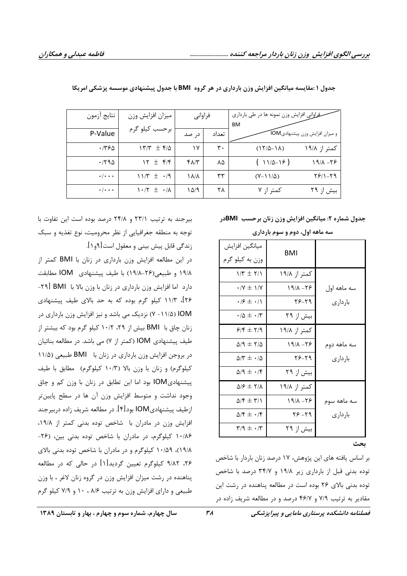| نتايج آزمون         | ميزان افزايش وزن                          | فراواني      |       | ـفراواني افزايش وزن نمونه ها در طي بارداري |                                 |
|---------------------|-------------------------------------------|--------------|-------|--------------------------------------------|---------------------------------|
| P-Value             | برحسب كيلو گرم                            | د, صد        | تعداد | <b>BM</b>                                  | و میزان افزایش وزن پیشنهادی IOM |
| ۱۳۶۵.               | $15/7$ $\pm$ $5/2$                        | ۱۷           | ٣٠    | $(17/\Delta-1\Lambda)$                     | کمتر از ۱۹/۸                    |
| .790                | $Y \pm \mathfrak{f}/\mathfrak{f}$         | $f\Lambda/T$ | ٨۵    | $(11/2-19)$                                | 97-191                          |
| $\cdot \cdot \cdot$ | $11/T \pm .9$                             | ۱۸/۸         | ٣٣    | $(Y-1)/\Delta$                             | 29/1-19                         |
| $\cdot \cdot \cdot$ | $\cdot$ $\uparrow$ $\pm$ $\cdot$ $\wedge$ | ۱۵/۹         | ۲۸    | کمتر از ۷                                  | بیش از ۲۹                       |

جدول ۱ :مقایسه میانگین افزایش وزن بارداری در هر گروه BMI با جدول پیشنهادی موسسه پزشکی امریکا

جدول شماره ۲: میانگین افزایش وزن زنان برحسب BMIدر

| سه ماهه اول، دوم و سوم بارداری |                             |                                                     |  |  |  |
|--------------------------------|-----------------------------|-----------------------------------------------------|--|--|--|
|                                | <b>BMI</b>                  | ميانگين افزايش                                      |  |  |  |
|                                |                             | وزن به کیلو گرم                                     |  |  |  |
|                                | کمتر از ۱۹/۸                | $1/T \pm 7/1$                                       |  |  |  |
| سه ماهه اول                    | $19/A - 79$                 | $\cdot$ /Y $\pm$ 1/Y                                |  |  |  |
| بار دار ی                      | $Y^{\varphi} - Y^{\varphi}$ | $\cdot$ / $\epsilon \pm \cdot$ / \                  |  |  |  |
|                                | بیش از ۲۹                   | $\cdot/\Delta \pm \cdot/\tau$                       |  |  |  |
|                                | کمتر از ۱۹/۸                | $9/5 \pm 7/9$                                       |  |  |  |
| سه ماهه دوم                    | $9/1 - 79$                  | $\Delta$ /9 $\pm$ 1/5                               |  |  |  |
| باردارى                        | $Y^{\varphi} - Y^{\varphi}$ | $\Delta/\Upsilon \pm -1$                            |  |  |  |
|                                | بیش از ۲۹                   | $\Delta$ /9 $\pm$ $\cdot$ /۴                        |  |  |  |
|                                | کمتر از ۱۹/۸                | $\Delta$ / $\epsilon \pm \tau$ / $\Lambda$          |  |  |  |
| سه ماهه سوم                    | $19/\lambda - 79$           | $\Delta/\mathfrak{k} \pm \mathfrak{r}/\mathfrak{h}$ |  |  |  |
| باردارى                        | $Y^{\varphi} - Y^{\varphi}$ | $\Delta/\mathfrak{k} \pm \cdot/\mathfrak{k}$        |  |  |  |
|                                | بیش از ۲۹                   | $\Gamma/9$ $\pm$ $\cdot$ /۳                         |  |  |  |
| بحث                            |                             |                                                     |  |  |  |

بر اساس يافته هاى اين پژوهش، ١٧ درصد زنان باردار با شاخص توده بدنی قبل از بارداری زیر ۱۹/۸ و ۳۴/۷ درصد با شاخص توده بدنی بالای ۲۶ بوده است در مطالعه پناهنده در رشت این مقادیر به ترتیب ۷/۹ و ۴۶/۷ درصد و در مطالعه شریف زاده در

بیرجند به ترتیب ۲۳/۱ و ۲۴/۸ درصد بوده است این تفاوت با توجه به منطقه جغرافيايي از نظر محروميت، نوع تغذيه و سبك زندگی قابل پیش بینی و معقول است[۹و۱].

در این مطالعه افزایش وزن بارداری در زنان با BMI کمتر از ۱۹/۸ و طبیعی(۲۶–۱۹/۸) با طیف پیشنهادی IOM مطابقت دارد اما افزایش وزن بارداری در زنان با وزن بالا با BMI [۲۹ ۲۶]، ۱۱/۳ کیلو گرم بوده که به حد بالای طیف پیشنهادی lOM (۱۱/۵- ۷) نزدیک می باشد و نیز افزایش وزن بارداری در زنان چاق با BMI بیش از ۲۹، ۱۰/۲ کیلو گرم بود که بیشتر از طیف پیشنهادی IOM (کمتر از ۷) می باشد. در مطالعه بنائیان در بروجن افزایش وزن بارداری در زنان با BMI طبیعی (۱۱/۵ كيلوگرم) و زنان با وزن بالا (١٠/٣ كيلوگرم) مطابق با طيف پیشنهادیIOM بود اما این تطابق در زنان با وزن کم و چاق وجود نداشت و متوسط افزایش وزن آن ها در سطح پایینتر زطيف پيشنهاديIOM بود[۴]. در مطالعه شريف زاده دربيرجند  $\overline{\phantom{a}}$ افزایش وزن در مادران با شاخص توده بدنی کمتر از ۱۹/۸، ۱۰/۸۶ کیلوگرم، در مادران با شاخص توده بدنی بین، (۲۶-۱۰/۵۹)، ۱۰/۵۹ کیلوگرم و در مادران با شاخص توده بدنی بالای ۲۶، ۹/۸۲ کیلوگرم تعیین گردید[۱] در حالی که در مطالعه پناهنده در رشت میزان افزایش وزن در گروه زنان لاغر ، با وزن طبیعی و دارای افزایش وزن به ترتیب ۸/۶ ، ۱۰ و ۷/۹ کیلو گرم

فصلنامه دانشکده پرستاری مامایی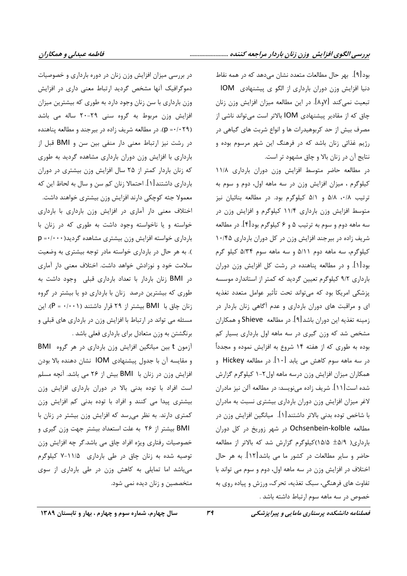بود[۹]. بهر حال مطالعات متعدد نشان مىدهد كه در همه نقاط دنیا افزایش وزن دوران بارداری از الگو ی پیشنهادی IOM تبعیت نمیکند [۷و۸]. در این مطالعه میزان افزایش وزن زنان چاق که از مقادیر پیشنهادی IOM بالاتر است می تواند ناشی از مصرف بیش از حد کربوهیدرات ها و انواع شربت های گیاهی در رژیم غذائی زنان باشد که در فرهنگ این شهر مرسوم بوده و نتايج آن در زنان بالا و چاق مشهود تر است.

در مطالعه حاضر متوسط افزايش وزن دوران باردارى ١١/٨ کیلوگرم ، میزان افزایش وزن در سه ماهه اول، دوم و سوم به ترتیب ۵/۸، ۵/۸ و ۵/۱ کیلوگرم بود. در مطالعه بنائیان نیز متوسط افزایش وزن بارداری ۱۱/۴ کیلوگرم و افزایش وزن در سه ماهه دوم و سوم به ترتیب ۵ و ۶ کیلوگرم بود[۴]. در مطالعه شریف زاده در بیرجند افزایش وزن در کل دوران بارداری ۱۰/۴۵ کیلوگرم، سه ماهه دوم ۵/۱۱ و سه ماهه سوم ۵/۳۴ کیلو گرم بود[۱]. و در مطالعه پناهنده در رشت کل افزایش وزن دوران بارداری ۹/۲ کیلوگرم تعیین گردید که کمتر از استاندارد موسسه پزشکی امریکا بود که میتواند تحت تأثیر عوامل متعدد تغذیه ای و مراقبت های دوران بارداری و عدم آگاهی زنان باردار در زمینه تغذیه این دوران باشد[۹]. در مطالعه Shieve و همکاران مشخص شد که وزن گیری در سه ماهه اول بارداری بسیار کم بوده به طوری که از هفته ۱۴ شروع به افزایش نموده و مجدداً در سه ماهه سوم کاهش می یابد [۱۰]. در مطالعه Hickey و همکاران میزان افزایش وزن درسه ماهه اول۲-۱ کیلوگرم گزارش شده است[۱۱]. شریف زاده میiویسد: در مطالعه آلن نیز مادران لاغر میزان افزایش وزن دوران بارداری بیشتری نسبت به مادران با شاخص توده بدنی بالاتر داشتند[۱]. میانگین افزایش وزن در مطالعه Ochsenbein-kolble در شهر زوريخ در كل دوران بارداری( ۵/۹ ه/۱۵/۵)کیلوگرم گزارش شد که بالاتر از مطالعه حاضر و سایر مطالعات در کشور ما می باشد[۱۲]. به هر حال اختلاف در افزایش وزن در سه ماهه اول، دوم و سوم می تواند با تفاوت های فرهنگی، سبک تغذیه، تحرک، ورزش و پیاده روی به خصوص در سه ماهه سوم ارتباط داشته باشد .

در بررسی میزان افزایش وزن زنان در دوره بارداری و خصوصیات دموگرافیک آنها مشخص گردید ارتباط معنی داری در افزایش وزن بارداری با سن زنان وجود دارد به طوری که بیشترین میزان افزایش وزن مربوط به گروه سنی ۲۹-۲۰ ساله می باشد (p =٠/٠٢٩). در مطالعه شريف زاده در بيرجند و مطالعه پناهنده در رشت نیز ارتباط معنی دار منفی بین سن و BMI قبل از بارداری با افزایش وزن دوران بارداری مشاهده گردید به طوری که زنان باردار کمتر از ۲۵ سال افزایش وزن بیشتری در دوران بارداری داشتند[۱]. احتمالا زنان کم سن و سال به لحاظ این که معمولا جثه کوچکی دارند افزایش وزن بیشتری خواهند داشت. اختلاف معنى دار آماري در افزايش وزن بارداري با بارداري خواسته و یا ناخواسته وجود داشت به طوری که در زنان با  $p = \cdot / \cdot \cdot$ بارداری خواسته افزایش وزن بیشتری مشاهده گردید ). به هر حال در بارداری خواسته مادر توجه بیشتری به وضعیت سلامت خود و نوزادش خواهد داشت. اختلاف معنی دار آماری در BMI زنان باردار با تعداد بارداری قبلی وجود داشت به طوری که بیشترین درصد زنان با بارداری دو یا بیشتر در گروه زنان چاق با BMI بیشتر از ٢٩ قرار داشتند (١٠٠١٠ = P). این مسئله می تواند در ارتباط با افزایش وزن در بارداری های قبلی و برنگشتن به وزن متعادل برای بارداری فعلی باشد .

آزمون t بین میانگین افزایش وزن بارداری در هر گروه BMI و مقايسه آن با جدول پيشنهادي IOM نشان دهنده بالا بودن افزایش وزن در زنان با BMI بیش از ۲۶ می باشد. آنچه مسلم است افراد با توده بدنی بالا در دوران بارداری افزایش وزن بیشتری پیدا می کنند و افراد با توده بدنی کم افزایش وزن کمتری دارند. به نظر میرسد که افزایش وزن بیشتر در زنان با BMI بیشتر از ۲۶ به علت استعداد بیشتر جهت وزن گیری و خصوصیات رفتاری ویژه افراد چاق می باشد.گر چه افزایش وزن توصیه شده به زنان چاق در طی بارداری ۱۱/۵-۷ کیلوگرم میباشد اما تمایلی به کاهش وزن در طی بارداری از سوی متخصصین و زنان دیده نمی شود.

فصلنامه دانشکده پرستاری مامایی و پیراپزشکی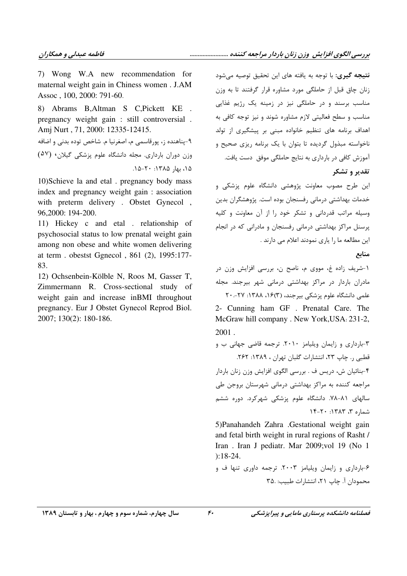7) Wong W.A new recommendation for maternal weight gain in Chiness women . J.AM Assoc, 100, 2000: 791-60.

8) Abrams B, Altman S C, Pickett KE. pregnancy weight gain: still controversial. Amj Nurt, 71, 2000: 12335-12415. ۹-پناهنده ز، پورقاسمي م، اصغرنيا م. شاخص توده بدني و اضافه وزن دوران بارداری. مجله دانشگاه علوم پزشکی گیلان، (۵۷) ١۵، بهار ١٣٨۵: ٢٠-١۵.

10) Schieve la and etal . pregnancy body mass index and pregnancy weight gain: association with preterm delivery. Obstet Gynecol, 96,2000: 194-200.

11) Hickey c and etal . relationship of psychosocial status to low prenatal weight gain among non obese and white women delivering at term. obestst Ggnecol, 861 (2), 1995:177-83.

12) Ochsenbein-Kölble N, Roos M, Gasser T, Zimmermann R. Cross-sectional study of weight gain and increase in BMI throughout pregnancy. Eur J Obstet Gynecol Reprod Biol. 2007; 130(2): 180-186.

**نتيجه گيري:** با توجه به يافته هاي اين تحقيق توصيه مي شود زنان چاق قبل از حاملگی مورد مشاوره قرار گرفتند تا به وزن مناسب برسند و در حاملگی نیز در زمینه یک رژیم غذایی مناسب و سطح فعالیتی لازم مشاوره شوند و نیز توجه کافی به اهداف برنامه های تنظیم خانواده مبنی بر پیشگیری از تولد ناخواسته مبذول گردیده تا بتوان با یک برنامه ریزی صحیح و آموزش كافي در بارداري به نتايج حاملگي موفق دست يافت.

تقدير و تشكر

این طرح مصوب معاونت پژوهشی دانشگاه علوم پزشکی و خدمات بهداشتی درمانی رفسنجان بوده است. پژوهشگران بدین وسیله مراتب قدردانی و تشکر خود را از آن معاونت و کلیه پرسنل مراکز بهداشتی درمانی رفسنجان و مادرانی که در انجام این مطالعه ما را یاری نمودند اعلام می دارند .

منابع

١-شريف زاده غ، مووى م، ناصح ن، بررسى افزايش وزن در ۔<br>مادران باردار در مراکز بھداشتے درمانے شھر بیرجند. مجله علمی دانشگاه علوم پزشکی بیرجند، (۱۶(۳، ۱۳۸۸: ۲۷-۲۰

2- Cunning ham GF. Prenatal Care. The McGraw hill company . New York, USA: 231-2,  $2001$ .

۳-بارداری و زایمان ویلیامز ۲۰۱۰. ترجمه قاضی جهانی ب و قطبی ر. چاپ ٢٣، انتشارات گلبان تهران ، ١٣٨٩: ٢۶٢. ۴-بنائیان ش، دریس ف . بررسی الگوی افزایش وزن زنان باردار مراجعه کننده به مراکز بهداشتی درمانی شهرستان بروجن طی سالهای ۸۱-۷۸. دانشگاه علوم پزشکی شهرکرد. دوره ششم  $15 - 7$ ۰ :۱۳۸۳، ۳ هماره ۳،

5) Panahandeh Zahra .Gestational weight gain and fetal birth weight in rural regions of Rasht / Iran. Iran J pediatr. Mar 2009; vol 19 (No 1  $): 18-24.$ 

۶-بارداری و زایمان ویلیامز ۲۰۰۳. ترجمه داوری تنها ف و محمودان آ. چاپ ۲۱، انتشارات طبیب: ۳۵.